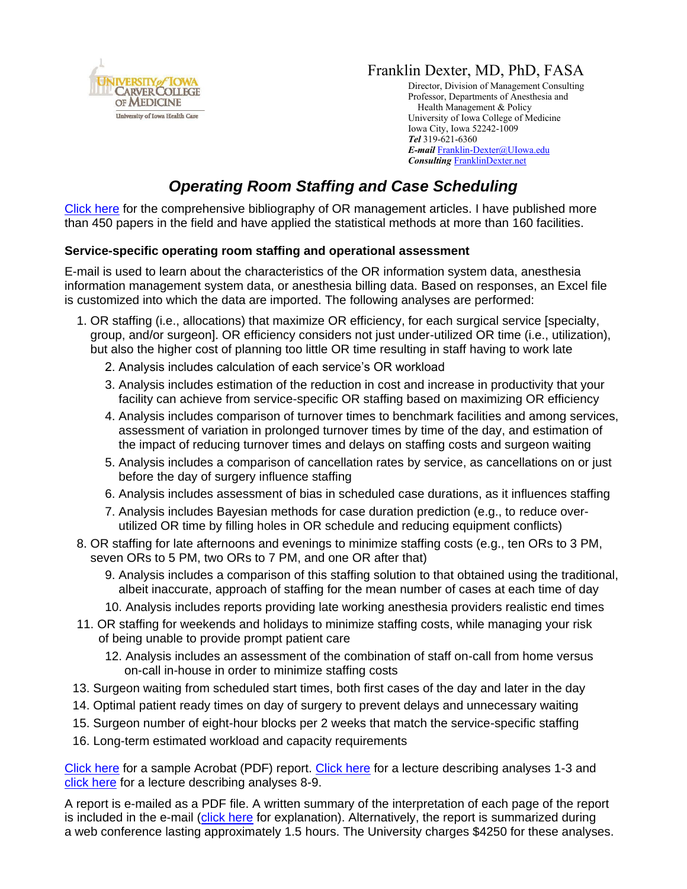

## Franklin Dexter, MD, PhD, FASA

Director, Division of Management Consulting Professor, Departments of Anesthesia and Health Management & Policy University of Iowa College of Medicine Iowa City, Iowa 52242-1009 *Tel* 319-621-6360 *E-mail* [Franklin-Dexter@UIowa.edu](mailto:Franklin-Dexter@UIowa.edu?subject=OR%20staffing%20and%20Case%20scheduling) *Consulting* [FranklinDexter.net](https://franklindexter.net/)

# *Operating Room Staffing and Case Scheduling*

[Click here](https://www.franklindexter.net/bibliography_TOC.htm) for the comprehensive bibliography of OR management articles. I have published more than 450 papers in the field and have applied the statistical methods at more than 160 facilities.

#### **Service-specific operating room staffing and operational assessment**

E-mail is used to learn about the characteristics of the OR information system data, anesthesia information management system data, or anesthesia billing data. Based on responses, an Excel file is customized into which the data are imported. The following analyses are performed:

- 1. OR staffing (i.e., allocations) that maximize OR efficiency, for each surgical service [specialty, group, and/or surgeon]. OR efficiency considers not just under-utilized OR time (i.e., utilization), but also the higher cost of planning too little OR time resulting in staff having to work late
	- 2. Analysis includes calculation of each service's OR workload
	- 3. Analysis includes estimation of the reduction in cost and increase in productivity that your facility can achieve from service-specific OR staffing based on maximizing OR efficiency
	- 4. Analysis includes comparison of turnover times to benchmark facilities and among services, assessment of variation in prolonged turnover times by time of the day, and estimation of the impact of reducing turnover times and delays on staffing costs and surgeon waiting
	- 5. Analysis includes a comparison of cancellation rates by service, as cancellations on or just before the day of surgery influence staffing
	- 6. Analysis includes assessment of bias in scheduled case durations, as it influences staffing
	- 7. Analysis includes Bayesian methods for case duration prediction (e.g., to reduce overutilized OR time by filling holes in OR schedule and reducing equipment conflicts)
- 8. OR staffing for late afternoons and evenings to minimize staffing costs (e.g., ten ORs to 3 PM, seven ORs to 5 PM, two ORs to 7 PM, and one OR after that)
	- 9. Analysis includes a comparison of this staffing solution to that obtained using the traditional, albeit inaccurate, approach of staffing for the mean number of cases at each time of day
	- 10. Analysis includes reports providing late working anesthesia providers realistic end times
- 11. OR staffing for weekends and holidays to minimize staffing costs, while managing your risk of being unable to provide prompt patient care
	- 12. Analysis includes an assessment of the combination of staff on-call from home versus on-call in-house in order to minimize staffing costs
- 13. Surgeon waiting from scheduled start times, both first cases of the day and later in the day
- 14. Optimal patient ready times on day of surgery to prevent delays and unnecessary waiting
- 15. Surgeon number of eight-hour blocks per 2 weeks that match the service-specific staffing
- 16. Long-term estimated workload and capacity requirements

[Click here](https://www.franklindexter.net/PDF_Files/ORStaffingExampleReport.pdf) for a sample Acrobat (PDF) report. [Click](https://www.franklindexter.net/Lectures/ORStaffingTalk.pdf) here for a lecture describing analyses 1-3 and [click here](https://www.franklindexter.net/Lectures/AfternoonStaffingTalk.pdf) for a lecture describing analyses 8-9.

A report is e-mailed as a PDF file. A written summary of the interpretation of each page of the report is included in the e-mail [\(click here](https://www.ncbi.nlm.nih.gov/pubmed/26287297) for explanation). Alternatively, the report is summarized during a web conference lasting approximately 1.5 hours. The University charges \$4250 for these analyses.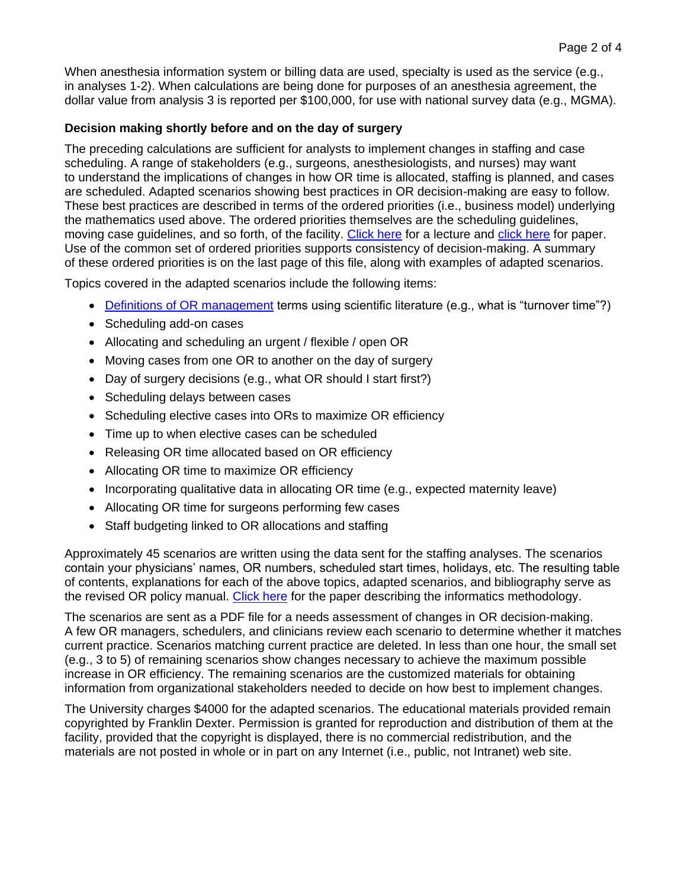When anesthesia information system or billing data are used, specialty is used as the service (e.g., in analyses 1-2). When calculations are being done for purposes of an anesthesia agreement, the dollar value from analysis 3 is reported per \$100,000, for use with national survey data (e.g., MGMA).

#### **Decision making shortly before and on the day of surgery**

The preceding calculations are sufficient for analysts to implement changes in staffing and case scheduling. A range of stakeholders (e.g., surgeons, anesthesiologists, and nurses) may want to understand the implications of changes in how OR time is allocated, staffing is planned, and cases are scheduled. Adapted scenarios showing best practices in OR decision-making are easy to follow. These best practices are described in terms of the ordered priorities (i.e., business model) underlying the mathematics used above. The ordered priorities themselves are the scheduling guidelines, moving case guidelines, and so forth, of the facility. [Click here](https://www.franklindexter.net/Lectures/ORStaffingTalk.pdf) for a lecture and [click here](https://www.biomedcentral.com/content/pdf/1472-6947-11-2.pdf) for paper. Use of the common set of ordered priorities supports consistency of decision-making. A summary of these ordered priorities is on the last page of this file, along with examples of adapted scenarios.

Topics covered in the adapted scenarios include the following items:

- [Definitions of OR management](https://www.anesthesia-analgesia.org/content/117/6/1460.full.pdf+HTML) terms using scientific literature (e.g., what is "turnover time"?)
- Scheduling add-on cases
- Allocating and scheduling an urgent / flexible / open OR
- Moving cases from one OR to another on the day of surgery
- Day of surgery decisions (e.g., what OR should I start first?)
- Scheduling delays between cases
- Scheduling elective cases into ORs to maximize OR efficiency
- Time up to when elective cases can be scheduled
- Releasing OR time allocated based on OR efficiency
- Allocating OR time to maximize OR efficiency
- Incorporating qualitative data in allocating OR time (e.g., expected maternity leave)
- Allocating OR time for surgeons performing few cases
- Staff budgeting linked to OR allocations and staffing

Approximately 45 scenarios are written using the data sent for the staffing analyses. The scenarios contain your physicians' names, OR numbers, scheduled start times, holidays, etc. The resulting table of contents, explanations for each of the above topics, adapted scenarios, and bibliography serve as the revised OR policy manual. [Click here](https://www.biomedcentral.com/content/pdf/1472-6947-11-2.pdf) for the paper describing the informatics methodology.

The scenarios are sent as a PDF file for a needs assessment of changes in OR decision-making. A few OR managers, schedulers, and clinicians review each scenario to determine whether it matches current practice. Scenarios matching current practice are deleted. In less than one hour, the small set (e.g., 3 to 5) of remaining scenarios show changes necessary to achieve the maximum possible increase in OR efficiency. The remaining scenarios are the customized materials for obtaining information from organizational stakeholders needed to decide on how best to implement changes.

The University charges \$4000 for the adapted scenarios. The educational materials provided remain copyrighted by Franklin Dexter. Permission is granted for reproduction and distribution of them at the facility, provided that the copyright is displayed, there is no commercial redistribution, and the materials are not posted in whole or in part on any Internet (i.e., public, not Intranet) web site.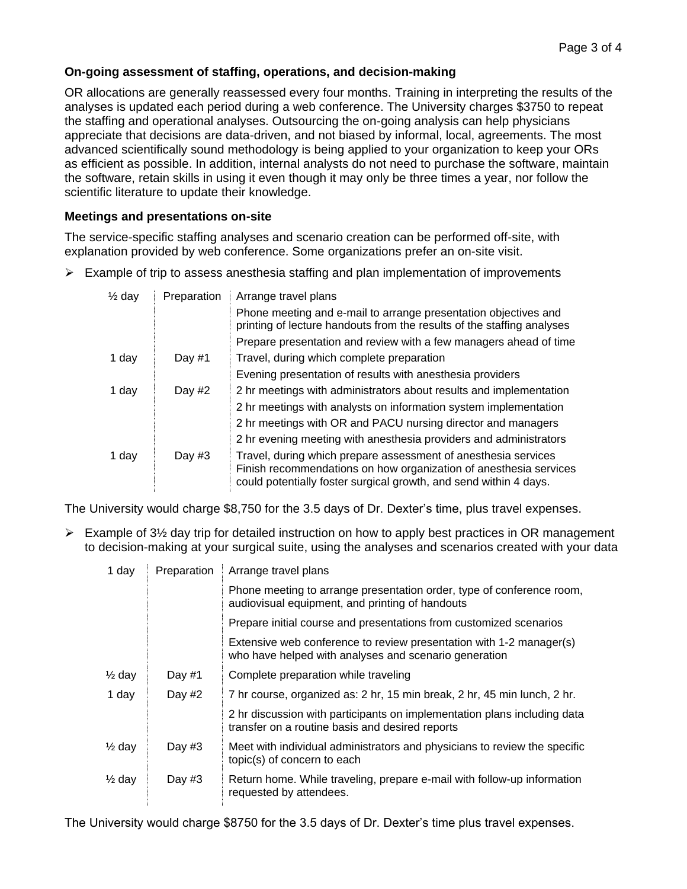#### **On-going assessment of staffing, operations, and decision-making**

OR allocations are generally reassessed every four months. Training in interpreting the results of the analyses is updated each period during a web conference. The University charges \$3750 to repeat the staffing and operational analyses. Outsourcing the on-going analysis can help physicians appreciate that decisions are data-driven, and not biased by informal, local, agreements. The most advanced scientifically sound methodology is being applied to your organization to keep your ORs as efficient as possible. In addition, internal analysts do not need to purchase the software, maintain the software, retain skills in using it even though it may only be three times a year, nor follow the scientific literature to update their knowledge.

#### **Meetings and presentations on-site**

The service-specific staffing analyses and scenario creation can be performed off-site, with explanation provided by web conference. Some organizations prefer an on-site visit.

 $\triangleright$  Example of trip to assess anesthesia staffing and plan implementation of improvements

| $\frac{1}{2}$ day | Preparation | Arrange travel plans                                                                                                                                                                                     |
|-------------------|-------------|----------------------------------------------------------------------------------------------------------------------------------------------------------------------------------------------------------|
|                   |             | Phone meeting and e-mail to arrange presentation objectives and<br>printing of lecture handouts from the results of the staffing analyses                                                                |
|                   |             | Prepare presentation and review with a few managers ahead of time                                                                                                                                        |
| 1 day             | Day $#1$    | Travel, during which complete preparation                                                                                                                                                                |
|                   |             | Evening presentation of results with anesthesia providers                                                                                                                                                |
| 1 day             | Day $#2$    | 2 hr meetings with administrators about results and implementation                                                                                                                                       |
|                   |             | 2 hr meetings with analysts on information system implementation                                                                                                                                         |
|                   |             | 2 hr meetings with OR and PACU nursing director and managers                                                                                                                                             |
|                   |             | 2 hr evening meeting with anesthesia providers and administrators                                                                                                                                        |
| 1 day             | Day $#3$    | Travel, during which prepare assessment of anesthesia services<br>Finish recommendations on how organization of anesthesia services<br>could potentially foster surgical growth, and send within 4 days. |

The University would charge \$8,750 for the 3.5 days of Dr. Dexter's time, plus travel expenses.

 $\triangleright$  Example of 3½ day trip for detailed instruction on how to apply best practices in OR management to decision-making at your surgical suite, using the analyses and scenarios created with your data

| 1 day             | Preparation | Arrange travel plans                                                                                                         |
|-------------------|-------------|------------------------------------------------------------------------------------------------------------------------------|
|                   |             | Phone meeting to arrange presentation order, type of conference room,<br>audiovisual equipment, and printing of handouts     |
|                   |             | Prepare initial course and presentations from customized scenarios                                                           |
|                   |             | Extensive web conference to review presentation with 1-2 manager(s)<br>who have helped with analyses and scenario generation |
| $\frac{1}{2}$ day | Day $#1$    | Complete preparation while traveling                                                                                         |
| 1 day             | Day $#2$    | 7 hr course, organized as: 2 hr, 15 min break, 2 hr, 45 min lunch, 2 hr.                                                     |
|                   |             | 2 hr discussion with participants on implementation plans including data<br>transfer on a routine basis and desired reports  |
| $\frac{1}{2}$ day | Day $#3$    | Meet with individual administrators and physicians to review the specific<br>topic(s) of concern to each                     |
| $\frac{1}{2}$ day | Day $#3$    | Return home. While traveling, prepare e-mail with follow-up information<br>requested by attendees.                           |

The University would charge \$8750 for the 3.5 days of Dr. Dexter's time plus travel expenses.